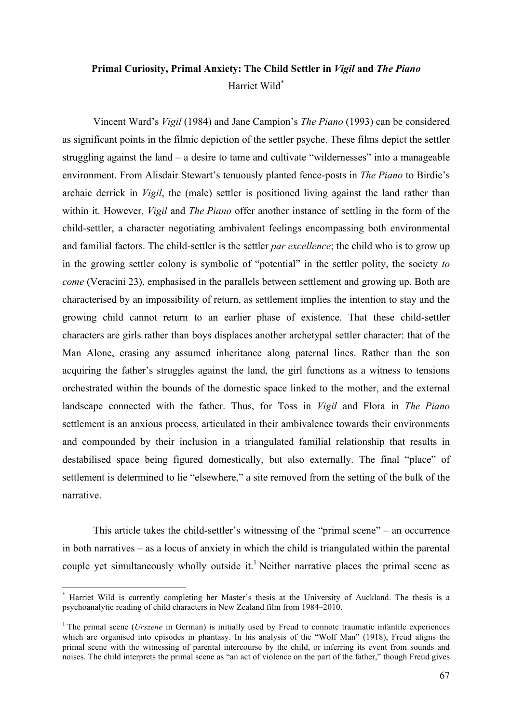# **Primal Curiosity, Primal Anxiety: The Child Settler in** *Vigil* **and** *The Piano* Harriet Wild\*

Vincent Ward's *Vigil* (1984) and Jane Campion's *The Piano* (1993) can be considered as significant points in the filmic depiction of the settler psyche. These films depict the settler struggling against the land – a desire to tame and cultivate "wildernesses" into a manageable environment. From Alisdair Stewart's tenuously planted fence-posts in *The Piano* to Birdie's archaic derrick in *Vigil*, the (male) settler is positioned living against the land rather than within it. However, *Vigil* and *The Piano* offer another instance of settling in the form of the child-settler, a character negotiating ambivalent feelings encompassing both environmental and familial factors. The child-settler is the settler *par excellence*; the child who is to grow up in the growing settler colony is symbolic of "potential" in the settler polity, the society *to come* (Veracini 23), emphasised in the parallels between settlement and growing up. Both are characterised by an impossibility of return, as settlement implies the intention to stay and the growing child cannot return to an earlier phase of existence. That these child-settler characters are girls rather than boys displaces another archetypal settler character: that of the Man Alone, erasing any assumed inheritance along paternal lines. Rather than the son acquiring the father's struggles against the land, the girl functions as a witness to tensions orchestrated within the bounds of the domestic space linked to the mother, and the external landscape connected with the father. Thus, for Toss in *Vigil* and Flora in *The Piano* settlement is an anxious process, articulated in their ambivalence towards their environments and compounded by their inclusion in a triangulated familial relationship that results in destabilised space being figured domestically, but also externally. The final "place" of settlement is determined to lie "elsewhere," a site removed from the setting of the bulk of the narrative.

This article takes the child-settler's witnessing of the "primal scene" – an occurrence in both narratives – as a locus of anxiety in which the child is triangulated within the parental couple yet simultaneously wholly outside it.<sup>1</sup> Neither narrative places the primal scene as

 <sup>\*</sup> Harriet Wild is currently completing her Master's thesis at the University of Auckland. The thesis is a psychoanalytic reading of child characters in New Zealand film from 1984–2010.

<sup>&</sup>lt;sup>1</sup> The primal scene (*Urszene* in German) is initially used by Freud to connote traumatic infantile experiences which are organised into episodes in phantasy. In his analysis of the "Wolf Man" (1918), Freud aligns the primal scene with the witnessing of parental intercourse by the child, or inferring its event from sounds and noises. The child interprets the primal scene as "an act of violence on the part of the father," though Freud gives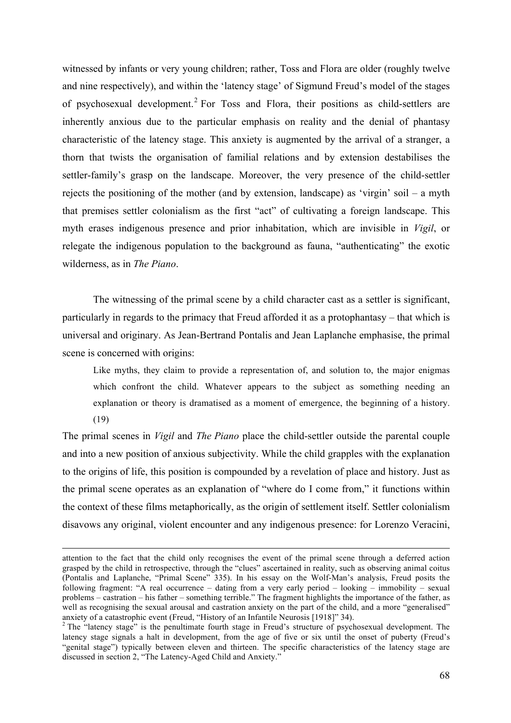witnessed by infants or very young children; rather, Toss and Flora are older (roughly twelve and nine respectively), and within the 'latency stage' of Sigmund Freud's model of the stages of psychosexual development.<sup>2</sup> For Toss and Flora, their positions as child-settlers are inherently anxious due to the particular emphasis on reality and the denial of phantasy characteristic of the latency stage. This anxiety is augmented by the arrival of a stranger, a thorn that twists the organisation of familial relations and by extension destabilises the settler-family's grasp on the landscape. Moreover, the very presence of the child-settler rejects the positioning of the mother (and by extension, landscape) as 'virgin' soil – a myth that premises settler colonialism as the first "act" of cultivating a foreign landscape. This myth erases indigenous presence and prior inhabitation, which are invisible in *Vigil*, or relegate the indigenous population to the background as fauna, "authenticating" the exotic wilderness, as in *The Piano*.

The witnessing of the primal scene by a child character cast as a settler is significant, particularly in regards to the primacy that Freud afforded it as a protophantasy – that which is universal and originary. As Jean-Bertrand Pontalis and Jean Laplanche emphasise, the primal scene is concerned with origins:

Like myths, they claim to provide a representation of, and solution to, the major enigmas which confront the child. Whatever appears to the subject as something needing an explanation or theory is dramatised as a moment of emergence, the beginning of a history. (19)

The primal scenes in *Vigil* and *The Piano* place the child-settler outside the parental couple and into a new position of anxious subjectivity. While the child grapples with the explanation to the origins of life, this position is compounded by a revelation of place and history. Just as the primal scene operates as an explanation of "where do I come from," it functions within the context of these films metaphorically, as the origin of settlement itself. Settler colonialism disavows any original, violent encounter and any indigenous presence: for Lorenzo Veracini,

attention to the fact that the child only recognises the event of the primal scene through a deferred action grasped by the child in retrospective, through the "clues" ascertained in reality, such as observing animal coitus (Pontalis and Laplanche, "Primal Scene" 335). In his essay on the Wolf-Man's analysis, Freud posits the following fragment: "A real occurrence – dating from a very early period – looking – immobility – sexual problems – castration – his father – something terrible." The fragment highlights the importance of the father, as well as recognising the sexual arousal and castration anxiety on the part of the child, and a more "generalised" anxiety of a catastrophic event (Freud, "History of an Infantile Neurosis [1918]" 34).

<sup>&</sup>lt;sup>2</sup> The "latency stage" is the penultimate fourth stage in Freud's structure of psychosexual development. The latency stage signals a halt in development, from the age of five or six until the onset of puberty (Freud's "genital stage") typically between eleven and thirteen. The specific characteristics of the latency stage are discussed in section 2, "The Latency-Aged Child and Anxiety."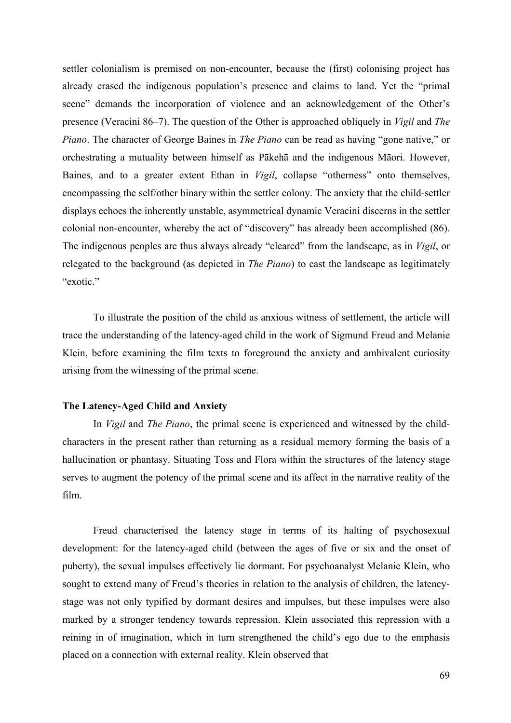settler colonialism is premised on non-encounter, because the (first) colonising project has already erased the indigenous population's presence and claims to land. Yet the "primal scene" demands the incorporation of violence and an acknowledgement of the Other's presence (Veracini 86–7). The question of the Other is approached obliquely in *Vigil* and *The Piano*. The character of George Baines in *The Piano* can be read as having "gone native," or orchestrating a mutuality between himself as Pākehā and the indigenous Māori. However, Baines, and to a greater extent Ethan in *Vigil*, collapse "otherness" onto themselves, encompassing the self/other binary within the settler colony. The anxiety that the child-settler displays echoes the inherently unstable, asymmetrical dynamic Veracini discerns in the settler colonial non-encounter, whereby the act of "discovery" has already been accomplished (86). The indigenous peoples are thus always already "cleared" from the landscape, as in *Vigil*, or relegated to the background (as depicted in *The Piano*) to cast the landscape as legitimately "exotic."

To illustrate the position of the child as anxious witness of settlement, the article will trace the understanding of the latency-aged child in the work of Sigmund Freud and Melanie Klein, before examining the film texts to foreground the anxiety and ambivalent curiosity arising from the witnessing of the primal scene.

#### **The Latency-Aged Child and Anxiety**

In *Vigil* and *The Piano*, the primal scene is experienced and witnessed by the childcharacters in the present rather than returning as a residual memory forming the basis of a hallucination or phantasy. Situating Toss and Flora within the structures of the latency stage serves to augment the potency of the primal scene and its affect in the narrative reality of the film.

Freud characterised the latency stage in terms of its halting of psychosexual development: for the latency-aged child (between the ages of five or six and the onset of puberty), the sexual impulses effectively lie dormant. For psychoanalyst Melanie Klein, who sought to extend many of Freud's theories in relation to the analysis of children, the latencystage was not only typified by dormant desires and impulses, but these impulses were also marked by a stronger tendency towards repression. Klein associated this repression with a reining in of imagination, which in turn strengthened the child's ego due to the emphasis placed on a connection with external reality. Klein observed that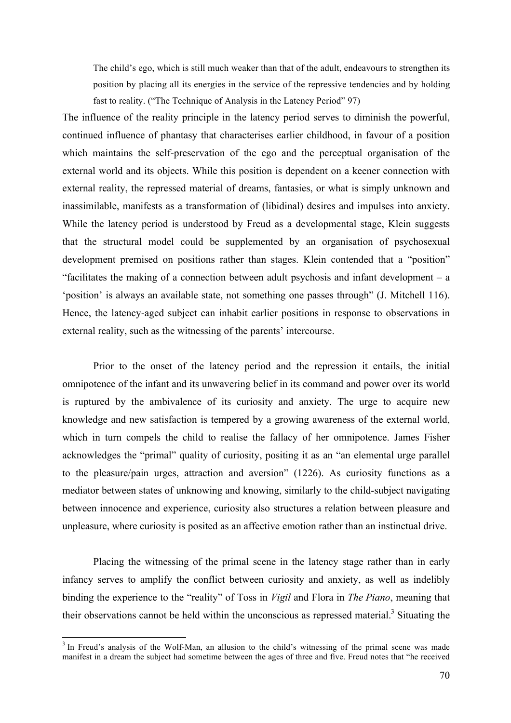The child's ego, which is still much weaker than that of the adult, endeavours to strengthen its position by placing all its energies in the service of the repressive tendencies and by holding fast to reality. ("The Technique of Analysis in the Latency Period" 97)

The influence of the reality principle in the latency period serves to diminish the powerful, continued influence of phantasy that characterises earlier childhood, in favour of a position which maintains the self-preservation of the ego and the perceptual organisation of the external world and its objects. While this position is dependent on a keener connection with external reality, the repressed material of dreams, fantasies, or what is simply unknown and inassimilable, manifests as a transformation of (libidinal) desires and impulses into anxiety. While the latency period is understood by Freud as a developmental stage, Klein suggests that the structural model could be supplemented by an organisation of psychosexual development premised on positions rather than stages. Klein contended that a "position" "facilitates the making of a connection between adult psychosis and infant development – a 'position' is always an available state, not something one passes through" (J. Mitchell 116). Hence, the latency-aged subject can inhabit earlier positions in response to observations in external reality, such as the witnessing of the parents' intercourse.

Prior to the onset of the latency period and the repression it entails, the initial omnipotence of the infant and its unwavering belief in its command and power over its world is ruptured by the ambivalence of its curiosity and anxiety. The urge to acquire new knowledge and new satisfaction is tempered by a growing awareness of the external world, which in turn compels the child to realise the fallacy of her omnipotence. James Fisher acknowledges the "primal" quality of curiosity, positing it as an "an elemental urge parallel to the pleasure/pain urges, attraction and aversion" (1226). As curiosity functions as a mediator between states of unknowing and knowing, similarly to the child-subject navigating between innocence and experience, curiosity also structures a relation between pleasure and unpleasure, where curiosity is posited as an affective emotion rather than an instinctual drive.

Placing the witnessing of the primal scene in the latency stage rather than in early infancy serves to amplify the conflict between curiosity and anxiety, as well as indelibly binding the experience to the "reality" of Toss in *Vigil* and Flora in *The Piano*, meaning that their observations cannot be held within the unconscious as repressed material.<sup>3</sup> Situating the

<sup>&</sup>lt;sup>3</sup> In Freud's analysis of the Wolf-Man, an allusion to the child's witnessing of the primal scene was made manifest in a dream the subject had sometime between the ages of three and five. Freud notes that "he received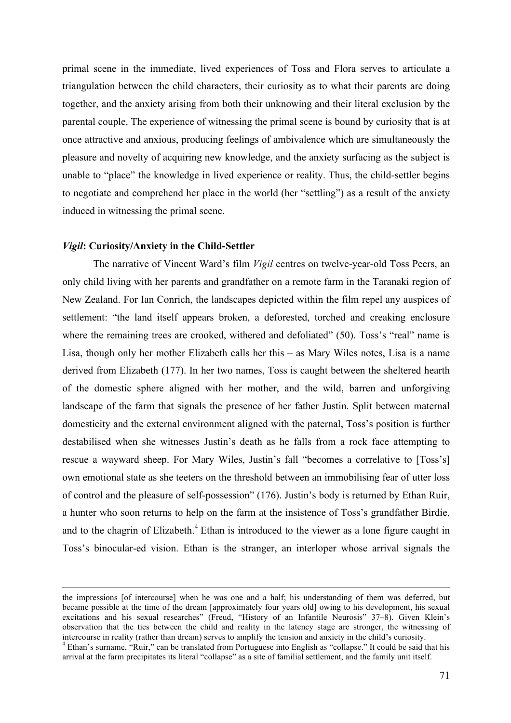primal scene in the immediate, lived experiences of Toss and Flora serves to articulate a triangulation between the child characters, their curiosity as to what their parents are doing together, and the anxiety arising from both their unknowing and their literal exclusion by the parental couple. The experience of witnessing the primal scene is bound by curiosity that is at once attractive and anxious, producing feelings of ambivalence which are simultaneously the pleasure and novelty of acquiring new knowledge, and the anxiety surfacing as the subject is unable to "place" the knowledge in lived experience or reality. Thus, the child-settler begins to negotiate and comprehend her place in the world (her "settling") as a result of the anxiety induced in witnessing the primal scene.

#### *Vigil***: Curiosity/Anxiety in the Child-Settler**

 $\overline{a}$ 

The narrative of Vincent Ward's film *Vigil* centres on twelve-year-old Toss Peers, an only child living with her parents and grandfather on a remote farm in the Taranaki region of New Zealand. For Ian Conrich, the landscapes depicted within the film repel any auspices of settlement: "the land itself appears broken, a deforested, torched and creaking enclosure where the remaining trees are crooked, withered and defoliated" (50). Toss's "real" name is Lisa, though only her mother Elizabeth calls her this – as Mary Wiles notes, Lisa is a name derived from Elizabeth (177). In her two names, Toss is caught between the sheltered hearth of the domestic sphere aligned with her mother, and the wild, barren and unforgiving landscape of the farm that signals the presence of her father Justin. Split between maternal domesticity and the external environment aligned with the paternal, Toss's position is further destabilised when she witnesses Justin's death as he falls from a rock face attempting to rescue a wayward sheep. For Mary Wiles, Justin's fall "becomes a correlative to [Toss's] own emotional state as she teeters on the threshold between an immobilising fear of utter loss of control and the pleasure of self-possession" (176). Justin's body is returned by Ethan Ruir, a hunter who soon returns to help on the farm at the insistence of Toss's grandfather Birdie, and to the chagrin of Elizabeth.<sup>4</sup> Ethan is introduced to the viewer as a lone figure caught in Toss's binocular-ed vision. Ethan is the stranger, an interloper whose arrival signals the

the impressions [of intercourse] when he was one and a half; his understanding of them was deferred, but became possible at the time of the dream [approximately four years old] owing to his development, his sexual excitations and his sexual researches" (Freud, "History of an Infantile Neurosis" 37–8). Given Klein's observation that the ties between the child and reality in the latency stage are stronger, the witnessing of intercourse in reality (rather than dream) serves to amplify the tension and anxiety in the child's curiosity.

<sup>4</sup> Ethan's surname, "Ruir," can be translated from Portuguese into English as "collapse." It could be said that his arrival at the farm precipitates its literal "collapse" as a site of familial settlement, and the family unit itself.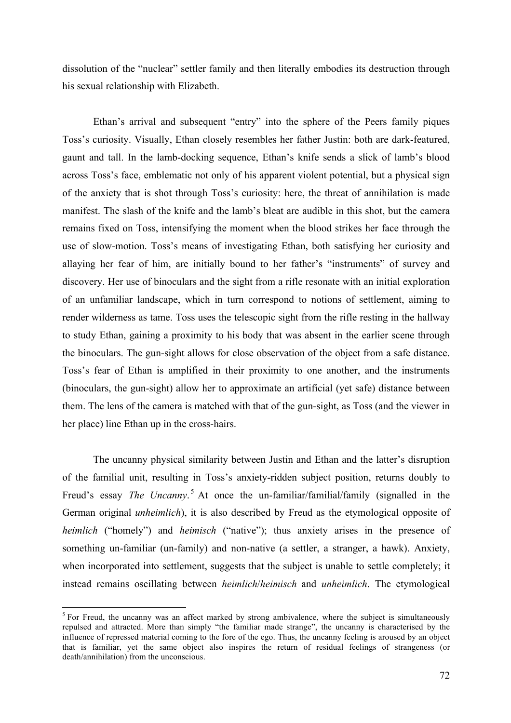dissolution of the "nuclear" settler family and then literally embodies its destruction through his sexual relationship with Elizabeth.

Ethan's arrival and subsequent "entry" into the sphere of the Peers family piques Toss's curiosity. Visually, Ethan closely resembles her father Justin: both are dark-featured, gaunt and tall. In the lamb-docking sequence, Ethan's knife sends a slick of lamb's blood across Toss's face, emblematic not only of his apparent violent potential, but a physical sign of the anxiety that is shot through Toss's curiosity: here, the threat of annihilation is made manifest. The slash of the knife and the lamb's bleat are audible in this shot, but the camera remains fixed on Toss, intensifying the moment when the blood strikes her face through the use of slow-motion. Toss's means of investigating Ethan, both satisfying her curiosity and allaying her fear of him, are initially bound to her father's "instruments" of survey and discovery. Her use of binoculars and the sight from a rifle resonate with an initial exploration of an unfamiliar landscape, which in turn correspond to notions of settlement, aiming to render wilderness as tame. Toss uses the telescopic sight from the rifle resting in the hallway to study Ethan, gaining a proximity to his body that was absent in the earlier scene through the binoculars. The gun-sight allows for close observation of the object from a safe distance. Toss's fear of Ethan is amplified in their proximity to one another, and the instruments (binoculars, the gun-sight) allow her to approximate an artificial (yet safe) distance between them. The lens of the camera is matched with that of the gun-sight, as Toss (and the viewer in her place) line Ethan up in the cross-hairs.

The uncanny physical similarity between Justin and Ethan and the latter's disruption of the familial unit, resulting in Toss's anxiety-ridden subject position, returns doubly to Freud's essay *The Uncanny*. <sup>5</sup> At once the un-familiar/familial/family (signalled in the German original *unheimlich*), it is also described by Freud as the etymological opposite of *heimlich* ("homely") and *heimisch* ("native"); thus anxiety arises in the presence of something un-familiar (un-family) and non-native (a settler, a stranger, a hawk). Anxiety, when incorporated into settlement, suggests that the subject is unable to settle completely; it instead remains oscillating between *heimlich*/*heimisch* and *unheimlich*. The etymological

 $<sup>5</sup>$  For Freud, the uncanny was an affect marked by strong ambivalence, where the subject is simultaneously</sup> repulsed and attracted. More than simply "the familiar made strange", the uncanny is characterised by the influence of repressed material coming to the fore of the ego. Thus, the uncanny feeling is aroused by an object that is familiar, yet the same object also inspires the return of residual feelings of strangeness (or death/annihilation) from the unconscious.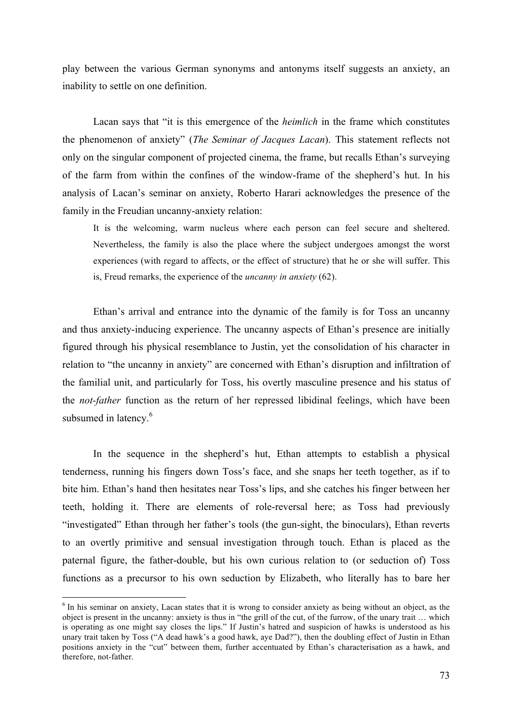play between the various German synonyms and antonyms itself suggests an anxiety, an inability to settle on one definition.

Lacan says that "it is this emergence of the *heimlich* in the frame which constitutes the phenomenon of anxiety" (*The Seminar of Jacques Lacan*). This statement reflects not only on the singular component of projected cinema, the frame, but recalls Ethan's surveying of the farm from within the confines of the window-frame of the shepherd's hut. In his analysis of Lacan's seminar on anxiety, Roberto Harari acknowledges the presence of the family in the Freudian uncanny-anxiety relation:

It is the welcoming, warm nucleus where each person can feel secure and sheltered. Nevertheless, the family is also the place where the subject undergoes amongst the worst experiences (with regard to affects, or the effect of structure) that he or she will suffer. This is, Freud remarks, the experience of the *uncanny in anxiety* (62).

Ethan's arrival and entrance into the dynamic of the family is for Toss an uncanny and thus anxiety-inducing experience. The uncanny aspects of Ethan's presence are initially figured through his physical resemblance to Justin, yet the consolidation of his character in relation to "the uncanny in anxiety" are concerned with Ethan's disruption and infiltration of the familial unit, and particularly for Toss, his overtly masculine presence and his status of the *not-father* function as the return of her repressed libidinal feelings, which have been subsumed in latency.<sup>6</sup>

In the sequence in the shepherd's hut, Ethan attempts to establish a physical tenderness, running his fingers down Toss's face, and she snaps her teeth together, as if to bite him. Ethan's hand then hesitates near Toss's lips, and she catches his finger between her teeth, holding it. There are elements of role-reversal here; as Toss had previously "investigated" Ethan through her father's tools (the gun-sight, the binoculars), Ethan reverts to an overtly primitive and sensual investigation through touch. Ethan is placed as the paternal figure, the father-double, but his own curious relation to (or seduction of) Toss functions as a precursor to his own seduction by Elizabeth, who literally has to bare her

 $6$  In his seminar on anxiety. Lacan states that it is wrong to consider anxiety as being without an object, as the object is present in the uncanny: anxiety is thus in "the grill of the cut, of the furrow, of the unary trait … which is operating as one might say closes the lips." If Justin's hatred and suspicion of hawks is understood as his unary trait taken by Toss ("A dead hawk's a good hawk, aye Dad?"), then the doubling effect of Justin in Ethan positions anxiety in the "cut" between them, further accentuated by Ethan's characterisation as a hawk, and therefore, not-father.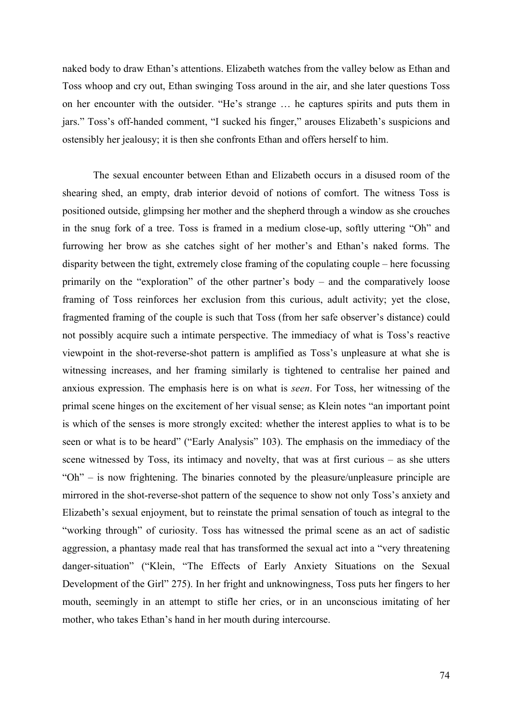naked body to draw Ethan's attentions. Elizabeth watches from the valley below as Ethan and Toss whoop and cry out, Ethan swinging Toss around in the air, and she later questions Toss on her encounter with the outsider. "He's strange … he captures spirits and puts them in jars." Toss's off-handed comment, "I sucked his finger," arouses Elizabeth's suspicions and ostensibly her jealousy; it is then she confronts Ethan and offers herself to him.

The sexual encounter between Ethan and Elizabeth occurs in a disused room of the shearing shed, an empty, drab interior devoid of notions of comfort. The witness Toss is positioned outside, glimpsing her mother and the shepherd through a window as she crouches in the snug fork of a tree. Toss is framed in a medium close-up, softly uttering "Oh" and furrowing her brow as she catches sight of her mother's and Ethan's naked forms. The disparity between the tight, extremely close framing of the copulating couple – here focussing primarily on the "exploration" of the other partner's body – and the comparatively loose framing of Toss reinforces her exclusion from this curious, adult activity; yet the close, fragmented framing of the couple is such that Toss (from her safe observer's distance) could not possibly acquire such a intimate perspective. The immediacy of what is Toss's reactive viewpoint in the shot-reverse-shot pattern is amplified as Toss's unpleasure at what she is witnessing increases, and her framing similarly is tightened to centralise her pained and anxious expression. The emphasis here is on what is *seen*. For Toss, her witnessing of the primal scene hinges on the excitement of her visual sense; as Klein notes "an important point is which of the senses is more strongly excited: whether the interest applies to what is to be seen or what is to be heard" ("Early Analysis" 103). The emphasis on the immediacy of the scene witnessed by Toss, its intimacy and novelty, that was at first curious – as she utters "Oh" – is now frightening. The binaries connoted by the pleasure/unpleasure principle are mirrored in the shot-reverse-shot pattern of the sequence to show not only Toss's anxiety and Elizabeth's sexual enjoyment, but to reinstate the primal sensation of touch as integral to the "working through" of curiosity. Toss has witnessed the primal scene as an act of sadistic aggression, a phantasy made real that has transformed the sexual act into a "very threatening danger-situation" ("Klein, "The Effects of Early Anxiety Situations on the Sexual Development of the Girl" 275). In her fright and unknowingness, Toss puts her fingers to her mouth, seemingly in an attempt to stifle her cries, or in an unconscious imitating of her mother, who takes Ethan's hand in her mouth during intercourse.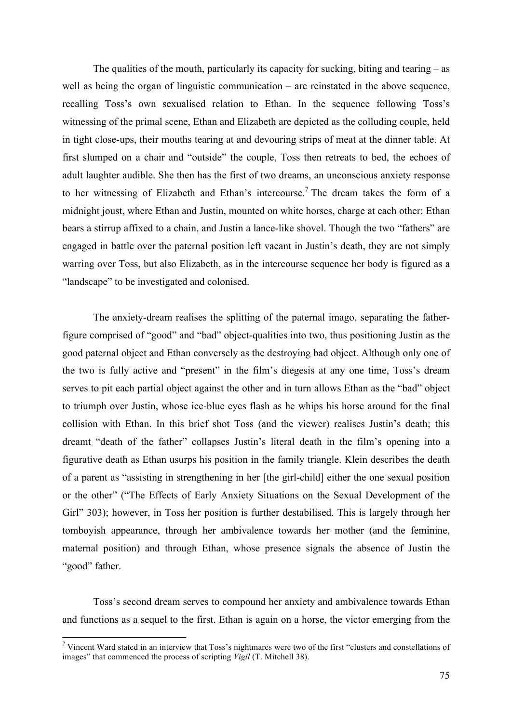The qualities of the mouth, particularly its capacity for sucking, biting and tearing – as well as being the organ of linguistic communication – are reinstated in the above sequence, recalling Toss's own sexualised relation to Ethan. In the sequence following Toss's witnessing of the primal scene, Ethan and Elizabeth are depicted as the colluding couple, held in tight close-ups, their mouths tearing at and devouring strips of meat at the dinner table. At first slumped on a chair and "outside" the couple, Toss then retreats to bed, the echoes of adult laughter audible. She then has the first of two dreams, an unconscious anxiety response to her witnessing of Elizabeth and Ethan's intercourse.<sup>7</sup> The dream takes the form of a midnight joust, where Ethan and Justin, mounted on white horses, charge at each other: Ethan bears a stirrup affixed to a chain, and Justin a lance-like shovel. Though the two "fathers" are engaged in battle over the paternal position left vacant in Justin's death, they are not simply warring over Toss, but also Elizabeth, as in the intercourse sequence her body is figured as a "landscape" to be investigated and colonised.

The anxiety-dream realises the splitting of the paternal imago, separating the fatherfigure comprised of "good" and "bad" object-qualities into two, thus positioning Justin as the good paternal object and Ethan conversely as the destroying bad object. Although only one of the two is fully active and "present" in the film's diegesis at any one time, Toss's dream serves to pit each partial object against the other and in turn allows Ethan as the "bad" object to triumph over Justin, whose ice-blue eyes flash as he whips his horse around for the final collision with Ethan. In this brief shot Toss (and the viewer) realises Justin's death; this dreamt "death of the father" collapses Justin's literal death in the film's opening into a figurative death as Ethan usurps his position in the family triangle. Klein describes the death of a parent as "assisting in strengthening in her [the girl-child] either the one sexual position or the other" ("The Effects of Early Anxiety Situations on the Sexual Development of the Girl" 303); however, in Toss her position is further destabilised. This is largely through her tomboyish appearance, through her ambivalence towards her mother (and the feminine, maternal position) and through Ethan, whose presence signals the absence of Justin the "good" father.

Toss's second dream serves to compound her anxiety and ambivalence towards Ethan and functions as a sequel to the first. Ethan is again on a horse, the victor emerging from the

<sup>&</sup>lt;sup>7</sup> Vincent Ward stated in an interview that Toss's nightmares were two of the first "clusters and constellations of images" that commenced the process of scripting *Vigil* (T. Mitchell 38).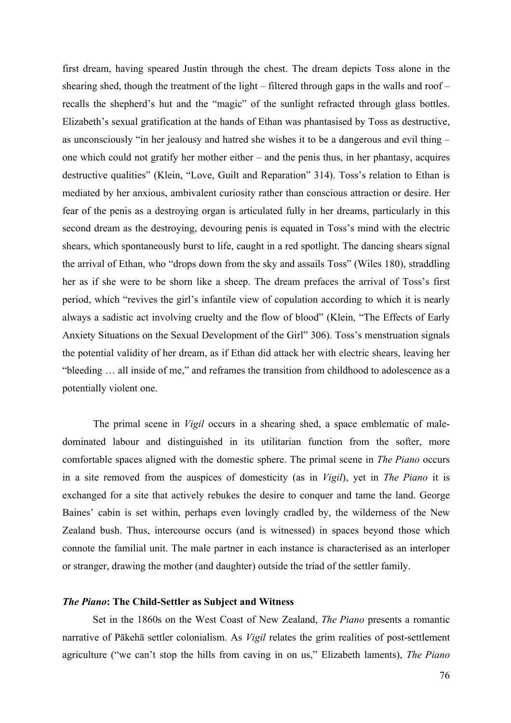first dream, having speared Justin through the chest. The dream depicts Toss alone in the shearing shed, though the treatment of the light – filtered through gaps in the walls and roof – recalls the shepherd's hut and the "magic" of the sunlight refracted through glass bottles. Elizabeth's sexual gratification at the hands of Ethan was phantasised by Toss as destructive, as unconsciously "in her jealousy and hatred she wishes it to be a dangerous and evil thing – one which could not gratify her mother either – and the penis thus, in her phantasy, acquires destructive qualities" (Klein, "Love, Guilt and Reparation" 314). Toss's relation to Ethan is mediated by her anxious, ambivalent curiosity rather than conscious attraction or desire. Her fear of the penis as a destroying organ is articulated fully in her dreams, particularly in this second dream as the destroying, devouring penis is equated in Toss's mind with the electric shears, which spontaneously burst to life, caught in a red spotlight. The dancing shears signal the arrival of Ethan, who "drops down from the sky and assails Toss" (Wiles 180), straddling her as if she were to be shorn like a sheep. The dream prefaces the arrival of Toss's first period, which "revives the girl's infantile view of copulation according to which it is nearly always a sadistic act involving cruelty and the flow of blood" (Klein, "The Effects of Early Anxiety Situations on the Sexual Development of the Girl" 306). Toss's menstruation signals the potential validity of her dream, as if Ethan did attack her with electric shears, leaving her "bleeding … all inside of me," and reframes the transition from childhood to adolescence as a potentially violent one.

The primal scene in *Vigil* occurs in a shearing shed, a space emblematic of maledominated labour and distinguished in its utilitarian function from the softer, more comfortable spaces aligned with the domestic sphere. The primal scene in *The Piano* occurs in a site removed from the auspices of domesticity (as in *Vigil*), yet in *The Piano* it is exchanged for a site that actively rebukes the desire to conquer and tame the land. George Baines' cabin is set within, perhaps even lovingly cradled by, the wilderness of the New Zealand bush. Thus, intercourse occurs (and is witnessed) in spaces beyond those which connote the familial unit. The male partner in each instance is characterised as an interloper or stranger, drawing the mother (and daughter) outside the triad of the settler family.

# *The Piano***: The Child-Settler as Subject and Witness**

Set in the 1860s on the West Coast of New Zealand, *The Piano* presents a romantic narrative of Pākehā settler colonialism. As *Vigil* relates the grim realities of post-settlement agriculture ("we can't stop the hills from caving in on us," Elizabeth laments), *The Piano*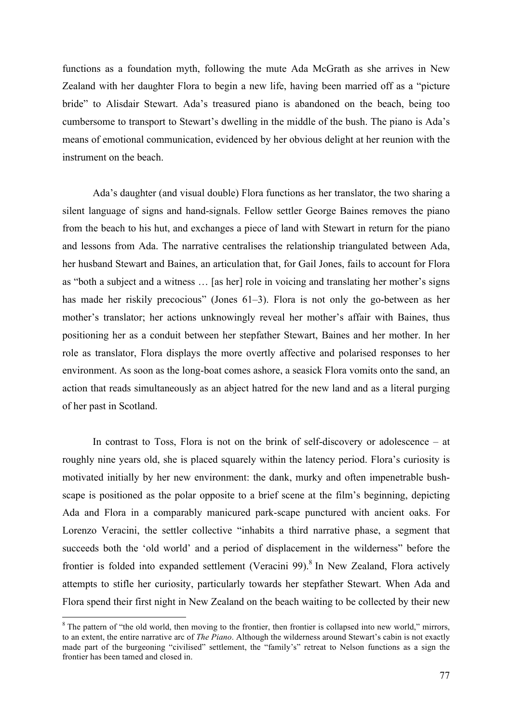functions as a foundation myth, following the mute Ada McGrath as she arrives in New Zealand with her daughter Flora to begin a new life, having been married off as a "picture bride" to Alisdair Stewart. Ada's treasured piano is abandoned on the beach, being too cumbersome to transport to Stewart's dwelling in the middle of the bush. The piano is Ada's means of emotional communication, evidenced by her obvious delight at her reunion with the instrument on the beach.

Ada's daughter (and visual double) Flora functions as her translator, the two sharing a silent language of signs and hand-signals. Fellow settler George Baines removes the piano from the beach to his hut, and exchanges a piece of land with Stewart in return for the piano and lessons from Ada. The narrative centralises the relationship triangulated between Ada, her husband Stewart and Baines, an articulation that, for Gail Jones, fails to account for Flora as "both a subject and a witness … [as her] role in voicing and translating her mother's signs has made her riskily precocious" (Jones 61–3). Flora is not only the go-between as her mother's translator; her actions unknowingly reveal her mother's affair with Baines, thus positioning her as a conduit between her stepfather Stewart, Baines and her mother. In her role as translator, Flora displays the more overtly affective and polarised responses to her environment. As soon as the long-boat comes ashore, a seasick Flora vomits onto the sand, an action that reads simultaneously as an abject hatred for the new land and as a literal purging of her past in Scotland.

In contrast to Toss, Flora is not on the brink of self-discovery or adolescence – at roughly nine years old, she is placed squarely within the latency period. Flora's curiosity is motivated initially by her new environment: the dank, murky and often impenetrable bushscape is positioned as the polar opposite to a brief scene at the film's beginning, depicting Ada and Flora in a comparably manicured park-scape punctured with ancient oaks. For Lorenzo Veracini, the settler collective "inhabits a third narrative phase, a segment that succeeds both the 'old world' and a period of displacement in the wilderness" before the frontier is folded into expanded settlement (Veracini 99).<sup>8</sup> In New Zealand, Flora actively attempts to stifle her curiosity, particularly towards her stepfather Stewart. When Ada and Flora spend their first night in New Zealand on the beach waiting to be collected by their new

<sup>&</sup>lt;sup>8</sup> The pattern of "the old world, then moving to the frontier, then frontier is collapsed into new world," mirrors, to an extent, the entire narrative arc of *The Piano*. Although the wilderness around Stewart's cabin is not exactly made part of the burgeoning "civilised" settlement, the "family's" retreat to Nelson functions as a sign the frontier has been tamed and closed in.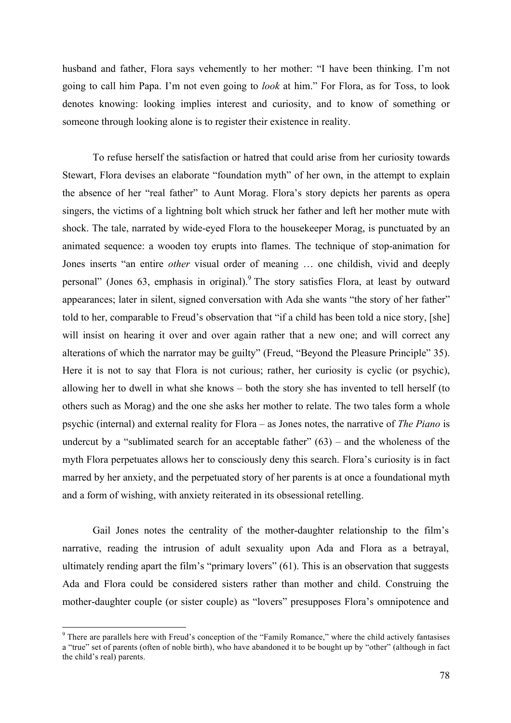husband and father, Flora says vehemently to her mother: "I have been thinking. I'm not going to call him Papa. I'm not even going to *look* at him." For Flora, as for Toss, to look denotes knowing: looking implies interest and curiosity, and to know of something or someone through looking alone is to register their existence in reality.

To refuse herself the satisfaction or hatred that could arise from her curiosity towards Stewart, Flora devises an elaborate "foundation myth" of her own, in the attempt to explain the absence of her "real father" to Aunt Morag. Flora's story depicts her parents as opera singers, the victims of a lightning bolt which struck her father and left her mother mute with shock. The tale, narrated by wide-eyed Flora to the housekeeper Morag, is punctuated by an animated sequence: a wooden toy erupts into flames. The technique of stop-animation for Jones inserts "an entire *other* visual order of meaning … one childish, vivid and deeply personal" (Jones  $63$ , emphasis in original). The story satisfies Flora, at least by outward appearances; later in silent, signed conversation with Ada she wants "the story of her father" told to her, comparable to Freud's observation that "if a child has been told a nice story, [she] will insist on hearing it over and over again rather that a new one; and will correct any alterations of which the narrator may be guilty" (Freud, "Beyond the Pleasure Principle" 35). Here it is not to say that Flora is not curious; rather, her curiosity is cyclic (or psychic), allowing her to dwell in what she knows – both the story she has invented to tell herself (to others such as Morag) and the one she asks her mother to relate. The two tales form a whole psychic (internal) and external reality for Flora – as Jones notes, the narrative of *The Piano* is undercut by a "sublimated search for an acceptable father"  $(63)$  – and the wholeness of the myth Flora perpetuates allows her to consciously deny this search. Flora's curiosity is in fact marred by her anxiety, and the perpetuated story of her parents is at once a foundational myth and a form of wishing, with anxiety reiterated in its obsessional retelling.

Gail Jones notes the centrality of the mother-daughter relationship to the film's narrative, reading the intrusion of adult sexuality upon Ada and Flora as a betrayal, ultimately rending apart the film's "primary lovers" (61). This is an observation that suggests Ada and Flora could be considered sisters rather than mother and child. Construing the mother-daughter couple (or sister couple) as "lovers" presupposes Flora's omnipotence and

<sup>&</sup>lt;sup>9</sup> There are parallels here with Freud's conception of the "Family Romance," where the child actively fantasises a "true" set of parents (often of noble birth), who have abandoned it to be bought up by "other" (although in fact the child's real) parents.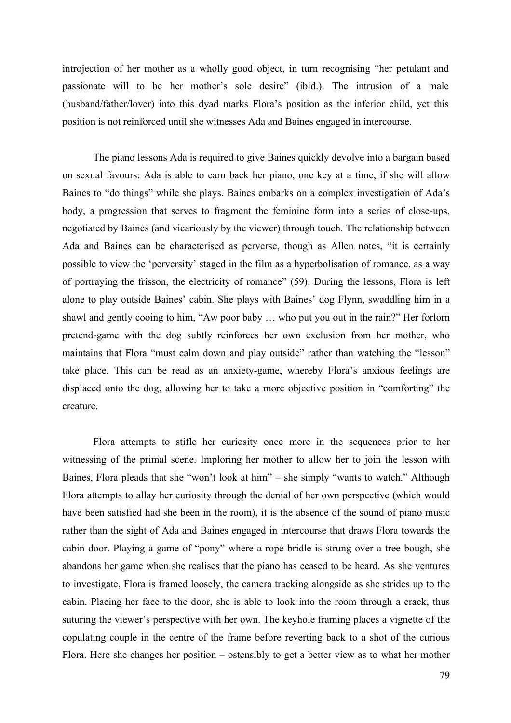introjection of her mother as a wholly good object, in turn recognising "her petulant and passionate will to be her mother's sole desire" (ibid.). The intrusion of a male (husband/father/lover) into this dyad marks Flora's position as the inferior child, yet this position is not reinforced until she witnesses Ada and Baines engaged in intercourse.

The piano lessons Ada is required to give Baines quickly devolve into a bargain based on sexual favours: Ada is able to earn back her piano, one key at a time, if she will allow Baines to "do things" while she plays. Baines embarks on a complex investigation of Ada's body, a progression that serves to fragment the feminine form into a series of close-ups, negotiated by Baines (and vicariously by the viewer) through touch. The relationship between Ada and Baines can be characterised as perverse, though as Allen notes, "it is certainly possible to view the 'perversity' staged in the film as a hyperbolisation of romance, as a way of portraying the frisson, the electricity of romance" (59). During the lessons, Flora is left alone to play outside Baines' cabin. She plays with Baines' dog Flynn, swaddling him in a shawl and gently cooing to him, "Aw poor baby … who put you out in the rain?" Her forlorn pretend-game with the dog subtly reinforces her own exclusion from her mother, who maintains that Flora "must calm down and play outside" rather than watching the "lesson" take place. This can be read as an anxiety-game, whereby Flora's anxious feelings are displaced onto the dog, allowing her to take a more objective position in "comforting" the creature.

Flora attempts to stifle her curiosity once more in the sequences prior to her witnessing of the primal scene. Imploring her mother to allow her to join the lesson with Baines, Flora pleads that she "won't look at him" – she simply "wants to watch." Although Flora attempts to allay her curiosity through the denial of her own perspective (which would have been satisfied had she been in the room), it is the absence of the sound of piano music rather than the sight of Ada and Baines engaged in intercourse that draws Flora towards the cabin door. Playing a game of "pony" where a rope bridle is strung over a tree bough, she abandons her game when she realises that the piano has ceased to be heard. As she ventures to investigate, Flora is framed loosely, the camera tracking alongside as she strides up to the cabin. Placing her face to the door, she is able to look into the room through a crack, thus suturing the viewer's perspective with her own. The keyhole framing places a vignette of the copulating couple in the centre of the frame before reverting back to a shot of the curious Flora. Here she changes her position – ostensibly to get a better view as to what her mother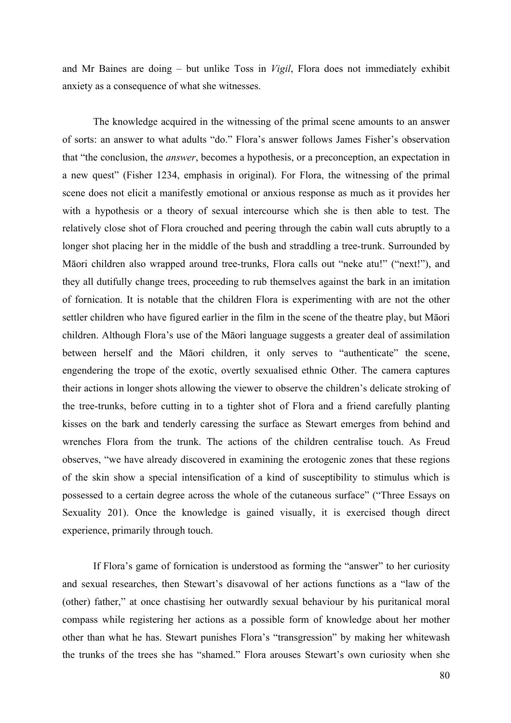and Mr Baines are doing – but unlike Toss in *Vigil*, Flora does not immediately exhibit anxiety as a consequence of what she witnesses.

The knowledge acquired in the witnessing of the primal scene amounts to an answer of sorts: an answer to what adults "do." Flora's answer follows James Fisher's observation that "the conclusion, the *answer*, becomes a hypothesis, or a preconception, an expectation in a new quest" (Fisher 1234, emphasis in original). For Flora, the witnessing of the primal scene does not elicit a manifestly emotional or anxious response as much as it provides her with a hypothesis or a theory of sexual intercourse which she is then able to test. The relatively close shot of Flora crouched and peering through the cabin wall cuts abruptly to a longer shot placing her in the middle of the bush and straddling a tree-trunk. Surrounded by Māori children also wrapped around tree-trunks, Flora calls out "neke atu!" ("next!"), and they all dutifully change trees, proceeding to rub themselves against the bark in an imitation of fornication. It is notable that the children Flora is experimenting with are not the other settler children who have figured earlier in the film in the scene of the theatre play, but Māori children. Although Flora's use of the Māori language suggests a greater deal of assimilation between herself and the Māori children, it only serves to "authenticate" the scene, engendering the trope of the exotic, overtly sexualised ethnic Other. The camera captures their actions in longer shots allowing the viewer to observe the children's delicate stroking of the tree-trunks, before cutting in to a tighter shot of Flora and a friend carefully planting kisses on the bark and tenderly caressing the surface as Stewart emerges from behind and wrenches Flora from the trunk. The actions of the children centralise touch. As Freud observes, "we have already discovered in examining the erotogenic zones that these regions of the skin show a special intensification of a kind of susceptibility to stimulus which is possessed to a certain degree across the whole of the cutaneous surface" ("Three Essays on Sexuality 201). Once the knowledge is gained visually, it is exercised though direct experience, primarily through touch.

If Flora's game of fornication is understood as forming the "answer" to her curiosity and sexual researches, then Stewart's disavowal of her actions functions as a "law of the (other) father," at once chastising her outwardly sexual behaviour by his puritanical moral compass while registering her actions as a possible form of knowledge about her mother other than what he has. Stewart punishes Flora's "transgression" by making her whitewash the trunks of the trees she has "shamed." Flora arouses Stewart's own curiosity when she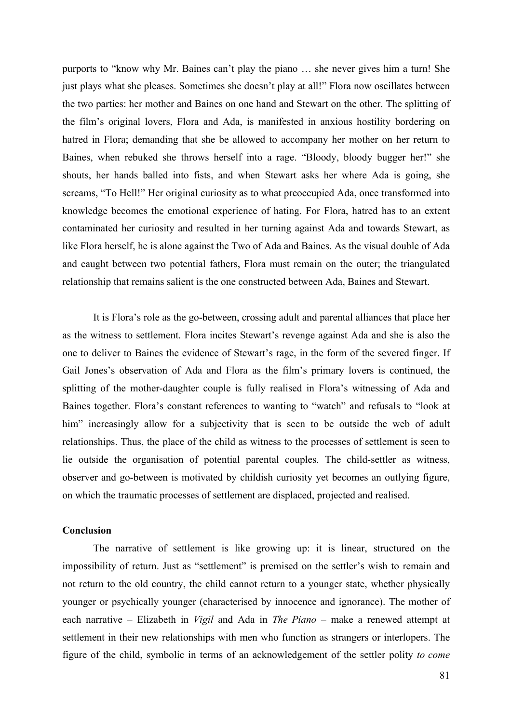purports to "know why Mr. Baines can't play the piano … she never gives him a turn! She just plays what she pleases. Sometimes she doesn't play at all!" Flora now oscillates between the two parties: her mother and Baines on one hand and Stewart on the other. The splitting of the film's original lovers, Flora and Ada, is manifested in anxious hostility bordering on hatred in Flora; demanding that she be allowed to accompany her mother on her return to Baines, when rebuked she throws herself into a rage. "Bloody, bloody bugger her!" she shouts, her hands balled into fists, and when Stewart asks her where Ada is going, she screams, "To Hell!" Her original curiosity as to what preoccupied Ada, once transformed into knowledge becomes the emotional experience of hating. For Flora, hatred has to an extent contaminated her curiosity and resulted in her turning against Ada and towards Stewart, as like Flora herself, he is alone against the Two of Ada and Baines. As the visual double of Ada and caught between two potential fathers, Flora must remain on the outer; the triangulated relationship that remains salient is the one constructed between Ada, Baines and Stewart.

It is Flora's role as the go-between, crossing adult and parental alliances that place her as the witness to settlement. Flora incites Stewart's revenge against Ada and she is also the one to deliver to Baines the evidence of Stewart's rage, in the form of the severed finger. If Gail Jones's observation of Ada and Flora as the film's primary lovers is continued, the splitting of the mother-daughter couple is fully realised in Flora's witnessing of Ada and Baines together. Flora's constant references to wanting to "watch" and refusals to "look at him" increasingly allow for a subjectivity that is seen to be outside the web of adult relationships. Thus, the place of the child as witness to the processes of settlement is seen to lie outside the organisation of potential parental couples. The child-settler as witness, observer and go-between is motivated by childish curiosity yet becomes an outlying figure, on which the traumatic processes of settlement are displaced, projected and realised.

# **Conclusion**

The narrative of settlement is like growing up: it is linear, structured on the impossibility of return. Just as "settlement" is premised on the settler's wish to remain and not return to the old country, the child cannot return to a younger state, whether physically younger or psychically younger (characterised by innocence and ignorance). The mother of each narrative – Elizabeth in *Vigil* and Ada in *The Piano* – make a renewed attempt at settlement in their new relationships with men who function as strangers or interlopers. The figure of the child, symbolic in terms of an acknowledgement of the settler polity *to come*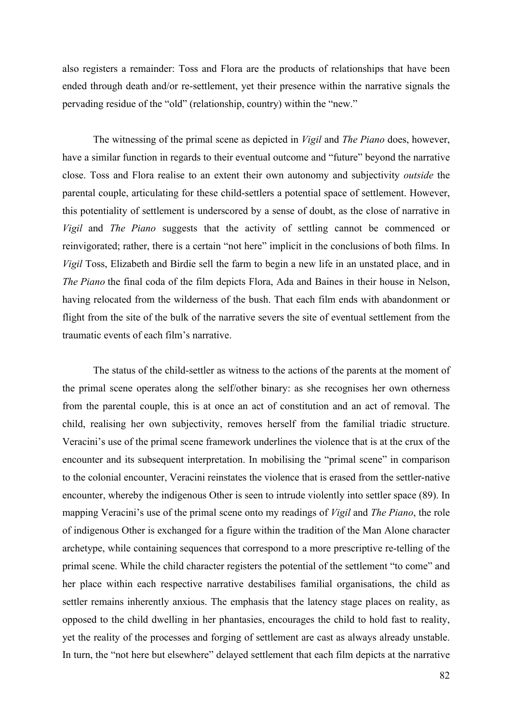also registers a remainder: Toss and Flora are the products of relationships that have been ended through death and/or re-settlement, yet their presence within the narrative signals the pervading residue of the "old" (relationship, country) within the "new."

The witnessing of the primal scene as depicted in *Vigil* and *The Piano* does, however, have a similar function in regards to their eventual outcome and "future" beyond the narrative close. Toss and Flora realise to an extent their own autonomy and subjectivity *outside* the parental couple, articulating for these child-settlers a potential space of settlement. However, this potentiality of settlement is underscored by a sense of doubt, as the close of narrative in *Vigil* and *The Piano* suggests that the activity of settling cannot be commenced or reinvigorated; rather, there is a certain "not here" implicit in the conclusions of both films. In *Vigil* Toss, Elizabeth and Birdie sell the farm to begin a new life in an unstated place, and in *The Piano* the final coda of the film depicts Flora, Ada and Baines in their house in Nelson, having relocated from the wilderness of the bush. That each film ends with abandonment or flight from the site of the bulk of the narrative severs the site of eventual settlement from the traumatic events of each film's narrative.

The status of the child-settler as witness to the actions of the parents at the moment of the primal scene operates along the self/other binary: as she recognises her own otherness from the parental couple, this is at once an act of constitution and an act of removal. The child, realising her own subjectivity, removes herself from the familial triadic structure. Veracini's use of the primal scene framework underlines the violence that is at the crux of the encounter and its subsequent interpretation. In mobilising the "primal scene" in comparison to the colonial encounter, Veracini reinstates the violence that is erased from the settler-native encounter, whereby the indigenous Other is seen to intrude violently into settler space (89). In mapping Veracini's use of the primal scene onto my readings of *Vigil* and *The Piano*, the role of indigenous Other is exchanged for a figure within the tradition of the Man Alone character archetype, while containing sequences that correspond to a more prescriptive re-telling of the primal scene. While the child character registers the potential of the settlement "to come" and her place within each respective narrative destabilises familial organisations, the child as settler remains inherently anxious. The emphasis that the latency stage places on reality, as opposed to the child dwelling in her phantasies, encourages the child to hold fast to reality, yet the reality of the processes and forging of settlement are cast as always already unstable. In turn, the "not here but elsewhere" delayed settlement that each film depicts at the narrative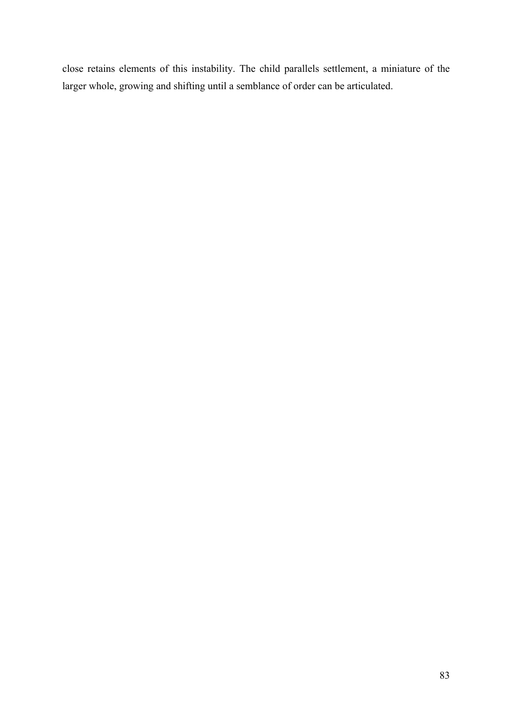close retains elements of this instability. The child parallels settlement, a miniature of the larger whole, growing and shifting until a semblance of order can be articulated.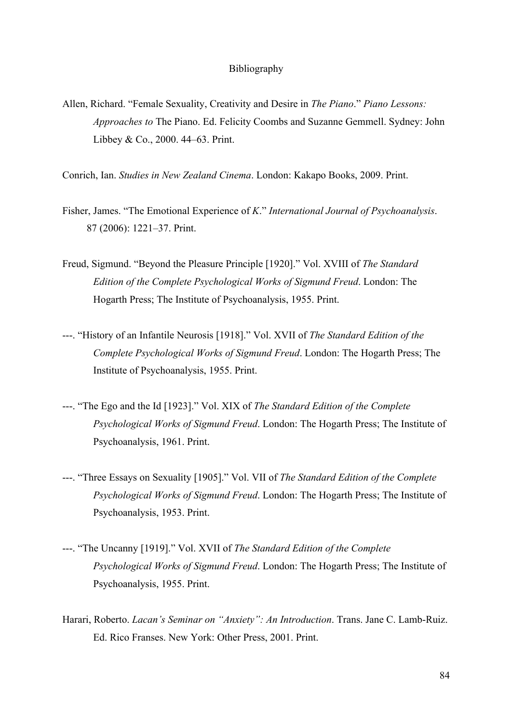### Bibliography

- Allen, Richard. "Female Sexuality, Creativity and Desire in *The Piano*." *Piano Lessons: Approaches to* The Piano. Ed. Felicity Coombs and Suzanne Gemmell. Sydney: John Libbey & Co., 2000. 44–63. Print.
- Conrich, Ian. *Studies in New Zealand Cinema*. London: Kakapo Books, 2009. Print.
- Fisher, James. "The Emotional Experience of *K*." *International Journal of Psychoanalysis*. 87 (2006): 1221–37. Print.
- Freud, Sigmund. "Beyond the Pleasure Principle [1920]." Vol. XVIII of *The Standard Edition of the Complete Psychological Works of Sigmund Freud*. London: The Hogarth Press; The Institute of Psychoanalysis, 1955. Print.
- ---. "History of an Infantile Neurosis [1918]." Vol. XVII of *The Standard Edition of the Complete Psychological Works of Sigmund Freud*. London: The Hogarth Press; The Institute of Psychoanalysis, 1955. Print.
- ---. "The Ego and the Id [1923]." Vol. XIX of *The Standard Edition of the Complete Psychological Works of Sigmund Freud*. London: The Hogarth Press; The Institute of Psychoanalysis, 1961. Print.
- ---. "Three Essays on Sexuality [1905]." Vol. VII of *The Standard Edition of the Complete Psychological Works of Sigmund Freud*. London: The Hogarth Press; The Institute of Psychoanalysis, 1953. Print.
- ---. "The Uncanny [1919]." Vol. XVII of *The Standard Edition of the Complete Psychological Works of Sigmund Freud*. London: The Hogarth Press; The Institute of Psychoanalysis, 1955. Print.
- Harari, Roberto. *Lacan's Seminar on "Anxiety": An Introduction*. Trans. Jane C. Lamb-Ruiz. Ed. Rico Franses. New York: Other Press, 2001. Print.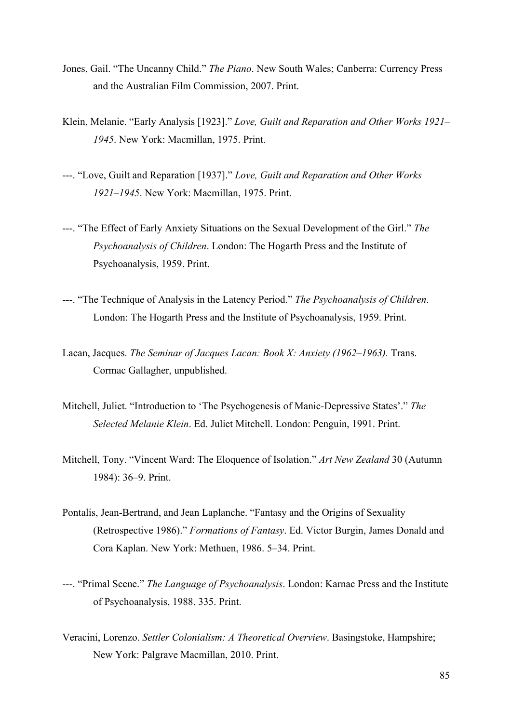- Jones, Gail. "The Uncanny Child." *The Piano*. New South Wales; Canberra: Currency Press and the Australian Film Commission, 2007. Print.
- Klein, Melanie. "Early Analysis [1923]." *Love, Guilt and Reparation and Other Works 1921– 1945*. New York: Macmillan, 1975. Print.
- ---. "Love, Guilt and Reparation [1937]." *Love, Guilt and Reparation and Other Works 1921–1945*. New York: Macmillan, 1975. Print.
- ---. "The Effect of Early Anxiety Situations on the Sexual Development of the Girl." *The Psychoanalysis of Children*. London: The Hogarth Press and the Institute of Psychoanalysis, 1959. Print.
- ---. "The Technique of Analysis in the Latency Period." *The Psychoanalysis of Children*. London: The Hogarth Press and the Institute of Psychoanalysis, 1959. Print.
- Lacan, Jacques. *The Seminar of Jacques Lacan: Book X: Anxiety (1962–1963).* Trans. Cormac Gallagher, unpublished.
- Mitchell, Juliet. "Introduction to 'The Psychogenesis of Manic-Depressive States'." *The Selected Melanie Klein*. Ed. Juliet Mitchell. London: Penguin, 1991. Print.
- Mitchell, Tony. "Vincent Ward: The Eloquence of Isolation." *Art New Zealand* 30 (Autumn 1984): 36*–*9. Print.
- Pontalis, Jean-Bertrand, and Jean Laplanche. "Fantasy and the Origins of Sexuality (Retrospective 1986)." *Formations of Fantasy*. Ed. Victor Burgin, James Donald and Cora Kaplan. New York: Methuen, 1986. 5–34. Print.
- ---. "Primal Scene." *The Language of Psychoanalysis*. London: Karnac Press and the Institute of Psychoanalysis, 1988. 335. Print.
- Veracini, Lorenzo. *Settler Colonialism: A Theoretical Overview*. Basingstoke, Hampshire; New York: Palgrave Macmillan, 2010. Print.